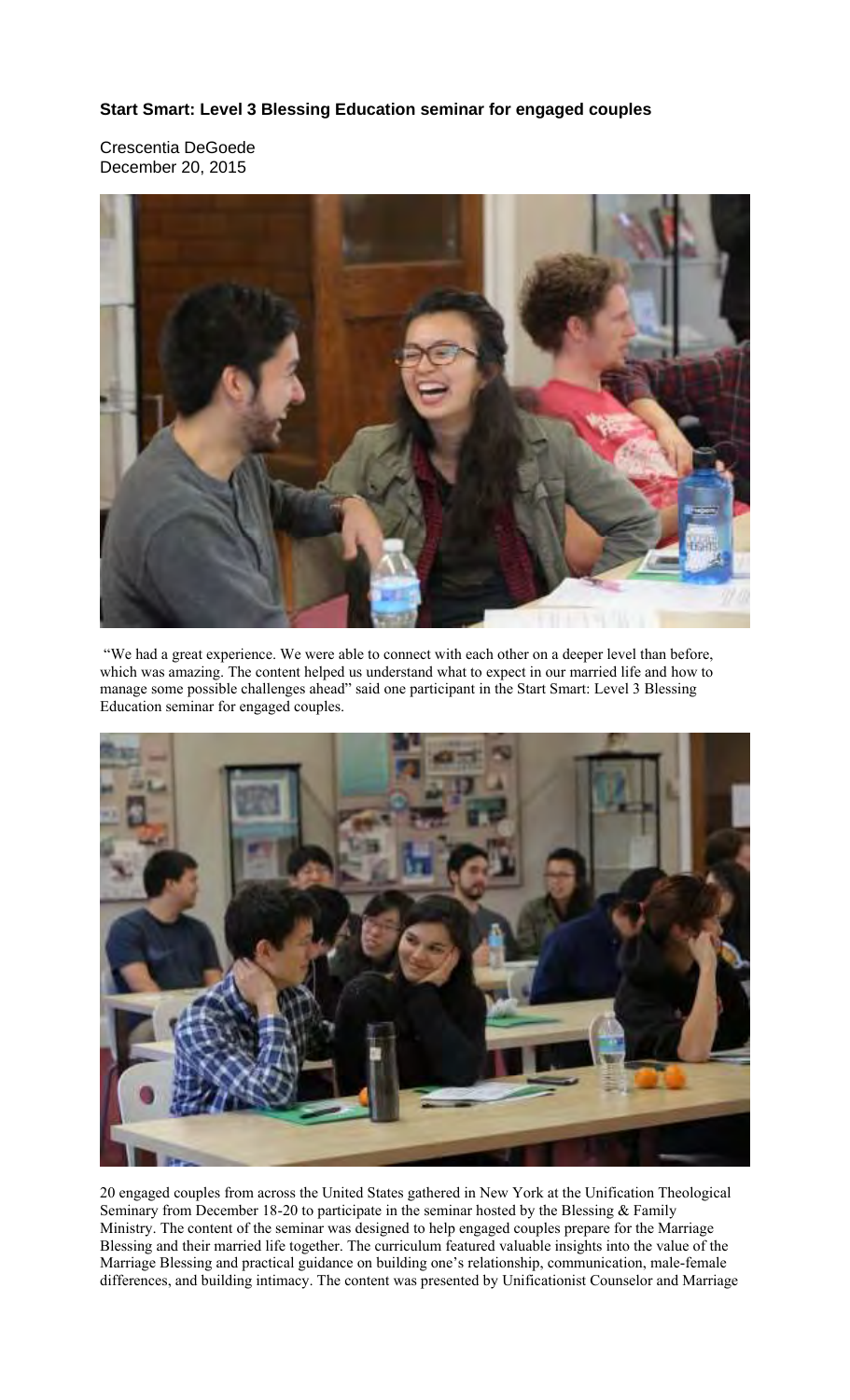## **Start Smart: Level 3 Blessing Education seminar for engaged couples**

Crescentia DeGoede December 20, 2015



 "We had a great experience. We were able to connect with each other on a deeper level than before, which was amazing. The content helped us understand what to expect in our married life and how to manage some possible challenges ahead" said one participant in the Start Smart: Level 3 Blessing Education seminar for engaged couples.



20 engaged couples from across the United States gathered in New York at the Unification Theological Seminary from December 18-20 to participate in the seminar hosted by the Blessing & Family Ministry. The content of the seminar was designed to help engaged couples prepare for the Marriage Blessing and their married life together. The curriculum featured valuable insights into the value of the Marriage Blessing and practical guidance on building one's relationship, communication, male-female differences, and building intimacy. The content was presented by Unificationist Counselor and Marriage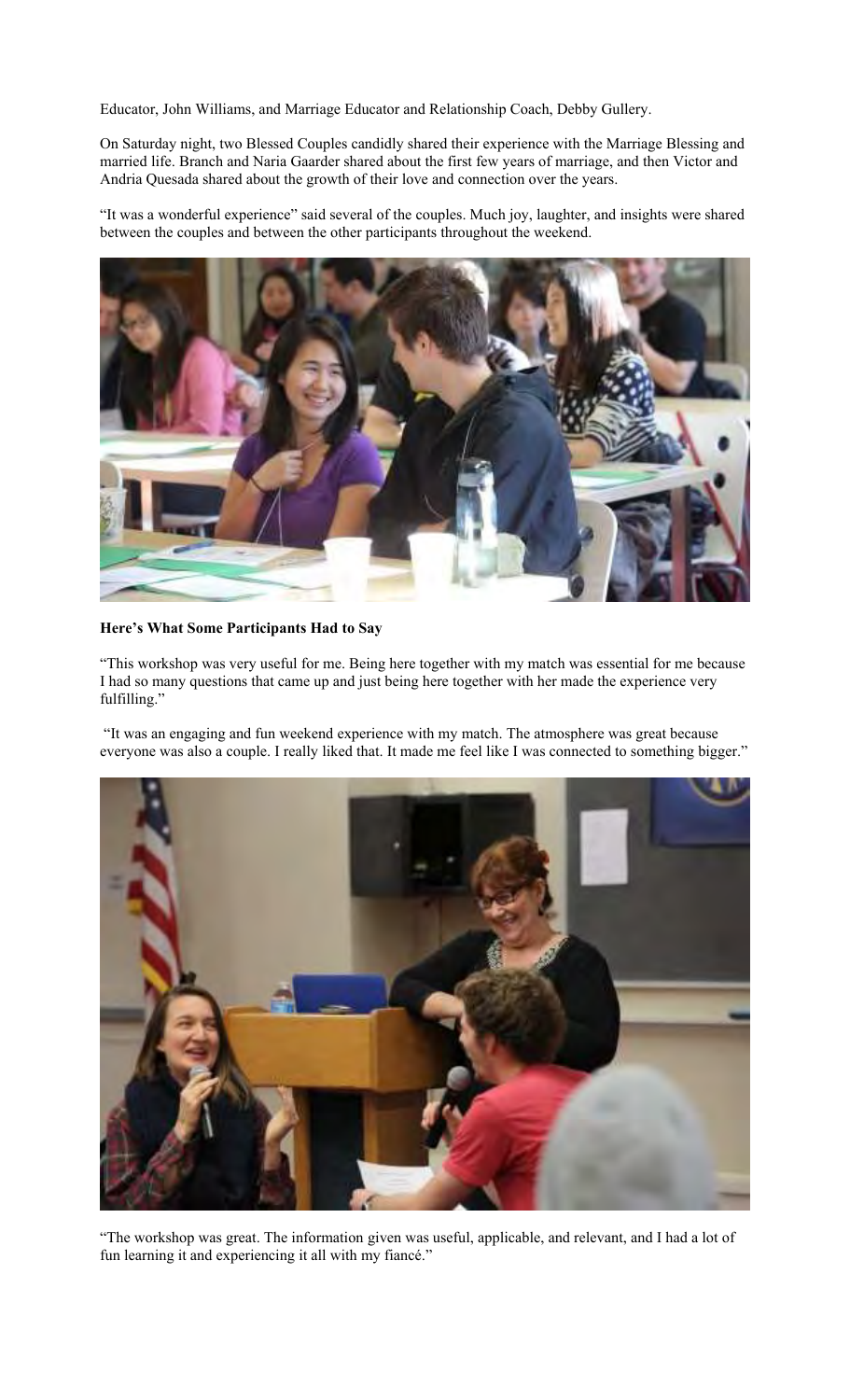Educator, John Williams, and Marriage Educator and Relationship Coach, Debby Gullery.

On Saturday night, two Blessed Couples candidly shared their experience with the Marriage Blessing and married life. Branch and Naria Gaarder shared about the first few years of marriage, and then Victor and Andria Quesada shared about the growth of their love and connection over the years.

"It was a wonderful experience" said several of the couples. Much joy, laughter, and insights were shared between the couples and between the other participants throughout the weekend.



## **Here's What Some Participants Had to Say**

"This workshop was very useful for me. Being here together with my match was essential for me because I had so many questions that came up and just being here together with her made the experience very fulfilling."

 "It was an engaging and fun weekend experience with my match. The atmosphere was great because everyone was also a couple. I really liked that. It made me feel like I was connected to something bigger."



"The workshop was great. The information given was useful, applicable, and relevant, and I had a lot of fun learning it and experiencing it all with my fiancé."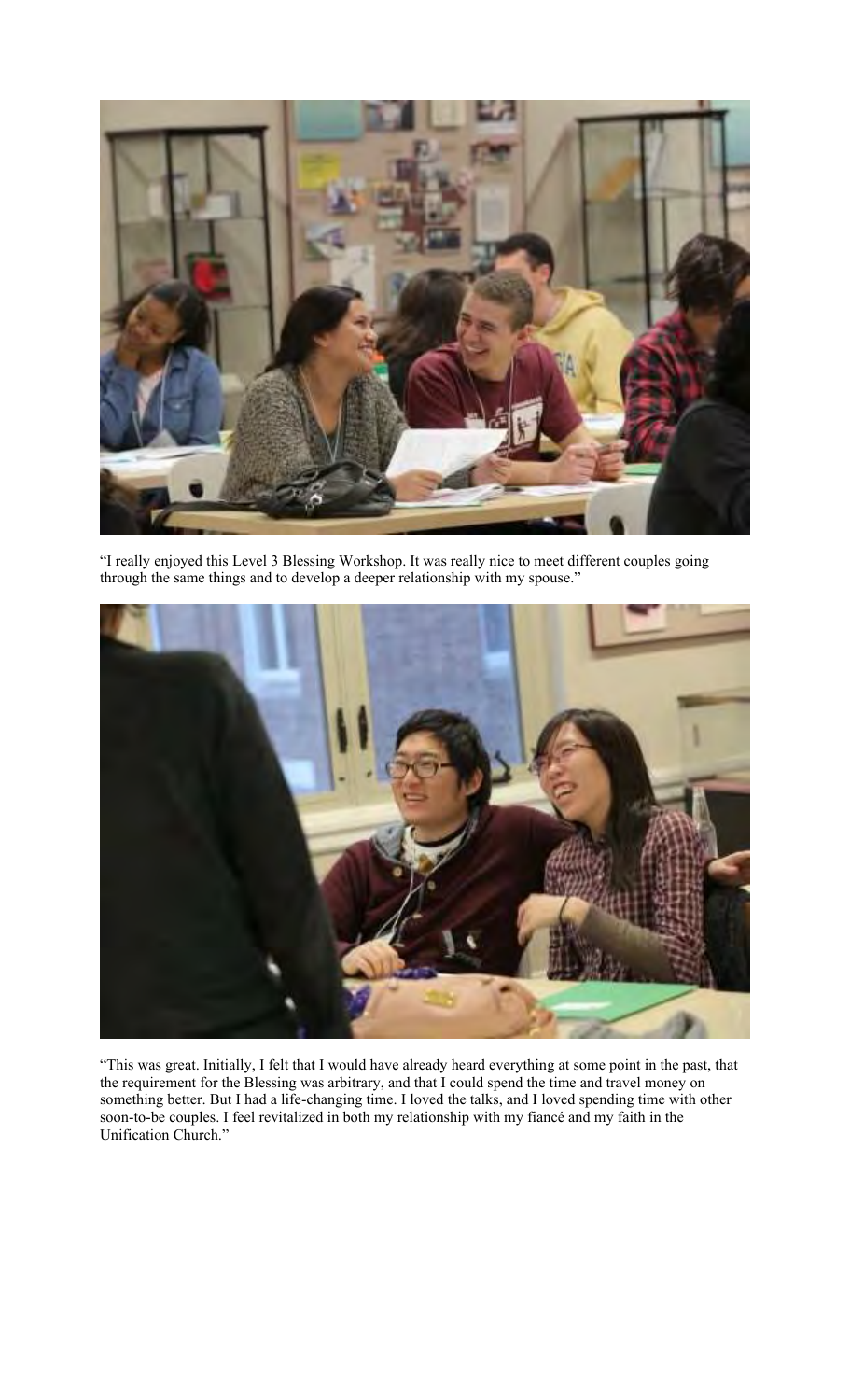

"I really enjoyed this Level 3 Blessing Workshop. It was really nice to meet different couples going through the same things and to develop a deeper relationship with my spouse."



"This was great. Initially, I felt that I would have already heard everything at some point in the past, that the requirement for the Blessing was arbitrary, and that I could spend the time and travel money on something better. But I had a life-changing time. I loved the talks, and I loved spending time with other soon-to-be couples. I feel revitalized in both my relationship with my fiancé and my faith in the Unification Church."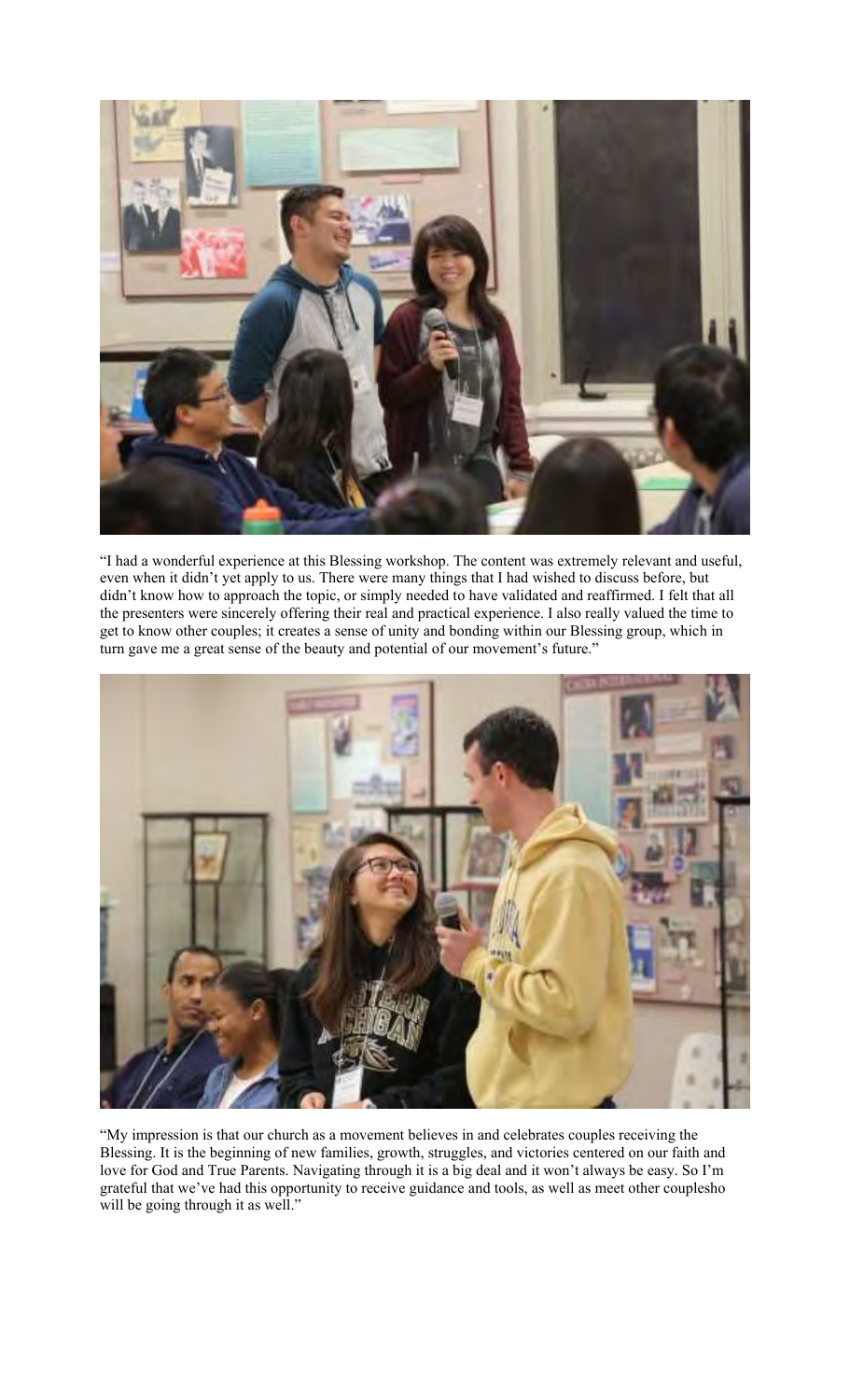

"I had a wonderful experience at this Blessing workshop. The content was extremely relevant and useful, even when it didn't yet apply to us. There were many things that I had wished to discuss before, but didn't know how to approach the topic, or simply needed to have validated and reaffirmed. I felt that all the presenters were sincerely offering their real and practical experience. I also really valued the time to get to know other couples; it creates a sense of unity and bonding within our Blessing group, which in turn gave me a great sense of the beauty and potential of our movement's future."



"My impression is that our church as a movement believes in and celebrates couples receiving the Blessing. It is the beginning of new families, growth, struggles, and victories centered on our faith and love for God and True Parents. Navigating through it is a big deal and it won't always be easy. So I'm grateful that we've had this opportunity to receive guidance and tools, as well as meet other couplesho will be going through it as well."